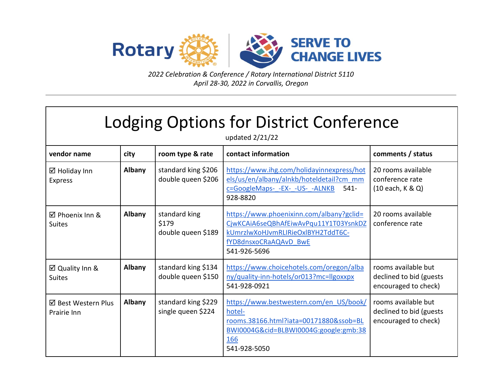

*2022 Celebration & Conference / Rotary International District 5110 April 28-30, 2022 in Corvallis, Oregon*

| Lodging Options for District Conference<br>updated 2/21/22 |        |                                              |                                                                                                                                                                 |                                                                        |  |  |
|------------------------------------------------------------|--------|----------------------------------------------|-----------------------------------------------------------------------------------------------------------------------------------------------------------------|------------------------------------------------------------------------|--|--|
| vendor name                                                | city   | room type & rate                             | contact information                                                                                                                                             | comments / status                                                      |  |  |
| $\boxtimes$ Holiday Inn<br><b>Express</b>                  | Albany | standard king \$206<br>double queen \$206    | https://www.ihg.com/holidayinnexpress/hot<br>els/us/en/albany/alnkb/hoteldetail?cm_mm<br>c=GoogleMaps- -EX- -US- -ALNKB<br>$541 -$<br>928-8820                  | 20 rooms available<br>conference rate<br>(10 each, K & Q)              |  |  |
| $\boxtimes$ Phoenix Inn &<br><b>Suites</b>                 | Albany | standard king<br>\$179<br>double queen \$189 | https://www.phoenixinn.com/albany?gclid=<br>CjwKCAiA6seQBhAfEiwAvPqu11Y1T03YsnkDZ<br>kUmrzlwXoHJvmRLIRieOxlBYH2TddT6C-<br>fYD8dnsxoCRaAQAvD BwE<br>541-926-5696 | 20 rooms available<br>conference rate                                  |  |  |
| ⊠ Quality Inn &<br><b>Suites</b>                           | Albany | standard king \$134<br>double queen \$150    | https://www.choicehotels.com/oregon/alba<br>ny/quality-inn-hotels/or013?mc=llgoxxpx<br>541-928-0921                                                             | rooms available but<br>declined to bid (guests<br>encouraged to check) |  |  |
| ☑ Best Western Plus<br>Prairie Inn                         | Albany | standard king \$229<br>single queen \$224    | https://www.bestwestern.com/en_US/book/<br>hotel-<br>rooms.38166.html?iata=00171880&ssob=BL<br>BWI0004G&cid=BLBWI0004G:google:gmb:38<br>166<br>541-928-5050     | rooms available but<br>declined to bid (guests<br>encouraged to check) |  |  |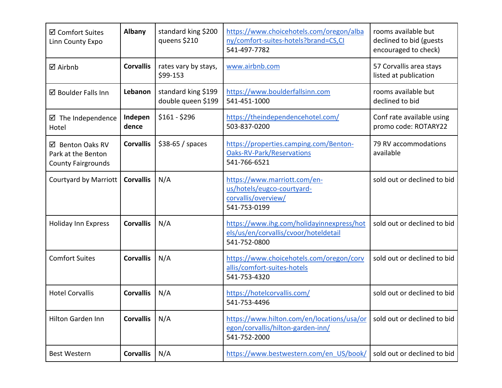| <b>Ø</b> Comfort Suites<br>Linn County Expo                         | Albany           | standard king \$200<br>queens \$210       | https://www.choicehotels.com/oregon/alba<br>ny/comfort-suites-hotels?brand=CS,CI<br>541-497-7782   | rooms available but<br>declined to bid (guests<br>encouraged to check) |
|---------------------------------------------------------------------|------------------|-------------------------------------------|----------------------------------------------------------------------------------------------------|------------------------------------------------------------------------|
| <b>Ø</b> Airbnb                                                     | <b>Corvallis</b> | rates vary by stays,<br>\$99-153          | www.airbnb.com                                                                                     | 57 Corvallis area stays<br>listed at publication                       |
| ☑ Boulder Falls Inn                                                 | Lebanon          | standard king \$199<br>double queen \$199 | https://www.boulderfallsinn.com<br>541-451-1000                                                    | rooms available but<br>declined to bid                                 |
| ☑ The Independence<br>Hotel                                         | Indepen<br>dence | $$161 - $296$                             | https://theindependencehotel.com/<br>503-837-0200                                                  | Conf rate available using<br>promo code: ROTARY22                      |
| ☑ Benton Oaks RV<br>Park at the Benton<br><b>County Fairgrounds</b> | <b>Corvallis</b> | $$38-65 / spaces$                         | https://properties.camping.com/Benton-<br><b>Oaks-RV-Park/Reservations</b><br>541-766-6521         | 79 RV accommodations<br>available                                      |
| <b>Courtyard by Marriott</b>                                        | <b>Corvallis</b> | N/A                                       | https://www.marriott.com/en-<br>us/hotels/eugco-courtyard-<br>corvallis/overview/<br>541-753-0199  | sold out or declined to bid                                            |
| <b>Holiday Inn Express</b>                                          | <b>Corvallis</b> | N/A                                       | https://www.ihg.com/holidayinnexpress/hot<br>els/us/en/corvallis/cvoor/hoteldetail<br>541-752-0800 | sold out or declined to bid                                            |
| <b>Comfort Suites</b>                                               | <b>Corvallis</b> | N/A                                       | https://www.choicehotels.com/oregon/corv<br>allis/comfort-suites-hotels<br>541-753-4320            | sold out or declined to bid                                            |
| <b>Hotel Corvallis</b>                                              | <b>Corvallis</b> | N/A                                       | https://hotelcorvallis.com/<br>541-753-4496                                                        | sold out or declined to bid                                            |
| Hilton Garden Inn                                                   | <b>Corvallis</b> | N/A                                       | https://www.hilton.com/en/locations/usa/or<br>egon/corvallis/hilton-garden-inn/<br>541-752-2000    | sold out or declined to bid                                            |
| <b>Best Western</b>                                                 | <b>Corvallis</b> | N/A                                       | https://www.bestwestern.com/en US/book/                                                            | sold out or declined to bid                                            |